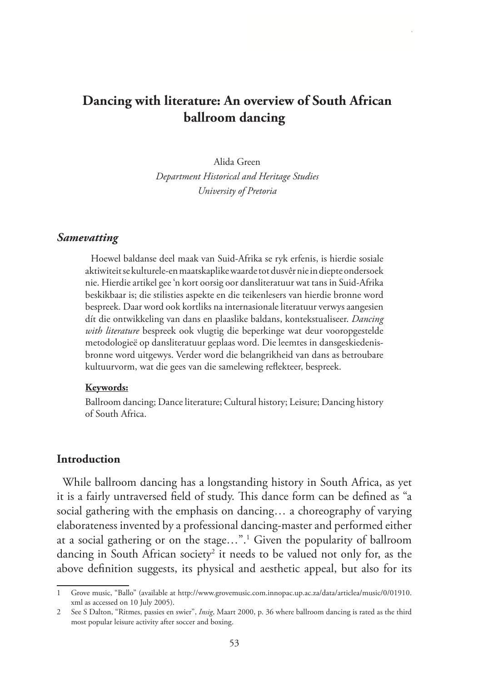# **Dancing with literature: An overview of South African ballroom dancing**

Alida Green *Department Historical and Heritage Studies University of Pretoria*

#### *Samevatting*

Hoewel baldanse deel maak van Suid-Afrika se ryk erfenis, is hierdie sosiale aktiwiteit se kulturele-en maatskaplike waarde tot dusvêr nie in diepte ondersoek nie. Hierdie artikel gee 'n kort oorsig oor dansliteratuur wat tans in Suid-Afrika beskikbaar is; die stilisties aspekte en die teikenlesers van hierdie bronne word bespreek. Daar word ook kortliks na internasionale literatuur verwys aangesien dít die ontwikkeling van dans en plaaslike baldans, kontekstualiseer. *Dancing with literature* bespreek ook vlugtig die beperkinge wat deur vooropgestelde metodologieë op dansliteratuur geplaas word. Die leemtes in dansgeskiedenisbronne word uitgewys. Verder word die belangrikheid van dans as betroubare kultuurvorm, wat die gees van die samelewing reflekteer, bespreek.

#### **Keywords:**

Ballroom dancing; Dance literature; Cultural history; Leisure; Dancing history of South Africa.

#### **Introduction**

While ballroom dancing has a longstanding history in South Africa, as yet it is a fairly untraversed field of study. This dance form can be defined as "a social gathering with the emphasis on dancing… a choreography of varying elaborateness invented by a professional dancing-master and performed either at a social gathering or on the stage…".1 Given the popularity of ballroom dancing in South African society<sup>2</sup> it needs to be valued not only for, as the above definition suggests, its physical and aesthetic appeal, but also for its

<sup>1</sup> Grove music, "Ballo" (available at http://www.grovemusic.com.innopac.up.ac.za/data/articlea/music/0/01910. xml as accessed on 10 July 2005).

<sup>2</sup> See S Dalton, "Ritmes, passies en swier", *Insig*, Maart 2000, p. 36 where ballroom dancing is rated as the third most popular leisure activity after soccer and boxing.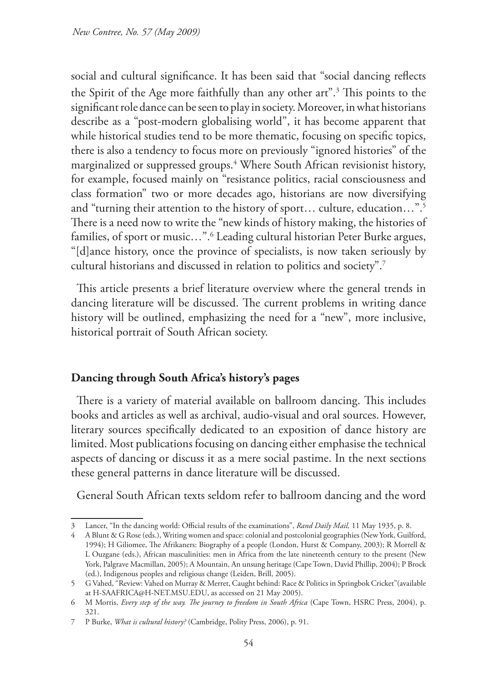social and cultural significance. It has been said that "social dancing reflects the Spirit of the Age more faithfully than any other art".3 This points to the significant role dance can be seen to play in society. Moreover, in what historians describe as a "post-modern globalising world", it has become apparent that while historical studies tend to be more thematic, focusing on specific topics, there is also a tendency to focus more on previously "ignored histories" of the marginalized or suppressed groups.4 Where South African revisionist history, for example, focused mainly on "resistance politics, racial consciousness and class formation" two or more decades ago, historians are now diversifying and "turning their attention to the history of sport… culture, education…".5 There is a need now to write the "new kinds of history making, the histories of families, of sport or music…".6 Leading cultural historian Peter Burke argues, "[d]ance history, once the province of specialists, is now taken seriously by cultural historians and discussed in relation to politics and society".7

This article presents a brief literature overview where the general trends in dancing literature will be discussed. The current problems in writing dance history will be outlined, emphasizing the need for a "new", more inclusive, historical portrait of South African society.

## **Dancing through South Africa's history's pages**

There is a variety of material available on ballroom dancing. This includes books and articles as well as archival, audio-visual and oral sources. However, literary sources specifically dedicated to an exposition of dance history are limited. Most publications focusing on dancing either emphasise the technical aspects of dancing or discuss it as a mere social pastime. In the next sections these general patterns in dance literature will be discussed.

General South African texts seldom refer to ballroom dancing and the word

<sup>3</sup> Lancer, "In the dancing world: Official results of the examinations", *Rand Daily Mail,* 11 May 1935, p. 8.

<sup>4</sup> A Blunt & G Rose (eds.), Writing women and space: colonial and postcolonial geographies (New York, Guilford, 1994); H Giliomee, The Afrikaners: Biography of a people (London, Hurst & Company, 2003); R Morrell & L Ouzgane (eds.), African masculinities: men in Africa from the late nineteenth century to the present (New York, Palgrave Macmillan, 2005); A Mountain, An unsung heritage (Cape Town, David Phillip, 2004); P Brock (ed.), Indigenous peoples and religious change (Leiden, Brill, 2005).

<sup>5</sup> G Vahed, "Review: Vahed on Murray & Merret, Caught behind: Race & Politics in Springbok Cricket"(available at H-SAAFRICA@H-NET.MSU.EDU, as accessed on 21 May 2005).

<sup>6</sup> M Morris, *Every step of the way. The journey to freedom in South Africa* (Cape Town, HSRC Press, 2004), p. 321.

<sup>7</sup> P Burke, *What is cultural history?* (Cambridge, Polity Press, 2006), p. 91.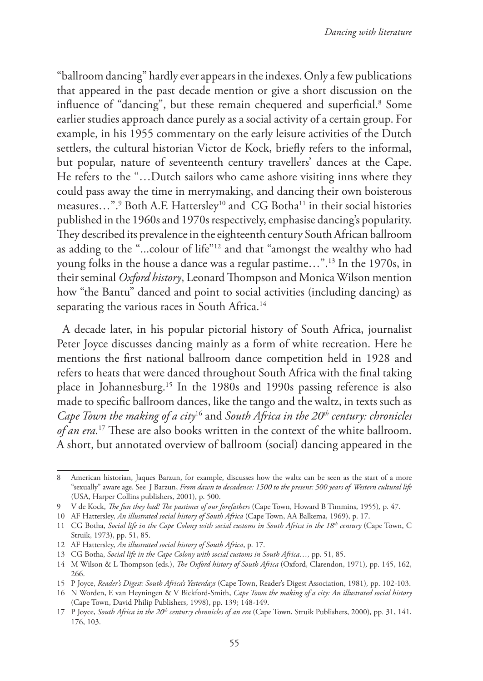"ballroom dancing" hardly ever appears in the indexes. Only a few publications that appeared in the past decade mention or give a short discussion on the influence of "dancing", but these remain chequered and superficial.<sup>8</sup> Some earlier studies approach dance purely as a social activity of a certain group. For example, in his 1955 commentary on the early leisure activities of the Dutch settlers, the cultural historian Victor de Kock, briefly refers to the informal, but popular, nature of seventeenth century travellers' dances at the Cape. He refers to the "…Dutch sailors who came ashore visiting inns where they could pass away the time in merrymaking, and dancing their own boisterous measures...".<sup>9</sup> Both A.F. Hattersley<sup>10</sup> and CG Botha<sup>11</sup> in their social histories published in the 1960s and 1970s respectively, emphasise dancing's popularity. They described its prevalence in the eighteenth century South African ballroom as adding to the "...colour of life"12 and that "amongst the wealthy who had young folks in the house a dance was a regular pastime…".13 In the 1970s, in their seminal *Oxford history*, Leonard Thompson and Monica Wilson mention how "the Bantu" danced and point to social activities (including dancing) as separating the various races in South Africa.<sup>14</sup>

A decade later, in his popular pictorial history of South Africa, journalist Peter Joyce discusses dancing mainly as a form of white recreation. Here he mentions the first national ballroom dance competition held in 1928 and refers to heats that were danced throughout South Africa with the final taking place in Johannesburg.15 In the 1980s and 1990s passing reference is also made to specific ballroom dances, like the tango and the waltz, in texts such as *Cape Town the making of a city*<sup>16</sup> and *South Africa in the 20<sup>th</sup> century: chronicles of an era.*<sup>17</sup> These are also books written in the context of the white ballroom. A short, but annotated overview of ballroom (social) dancing appeared in the

<sup>8</sup> American historian, Jaques Barzun, for example, discusses how the waltz can be seen as the start of a more "sexually" aware age. See J Barzun, *From dawn to decadence: 1500 to the present: 500 years of Western cultural life* (USA, Harper Collins publishers, 2001), p. 500.

<sup>9</sup> V de Kock, *The fun they had! The pastimes of our forefathers* (Cape Town, Howard B Timmins, 1955)*,* p. 47.

<sup>10</sup> AF Hattersley, *An illustrated social history of South Africa* (Cape Town, AA Balkema, 1969), p. 17.

<sup>11</sup> CG Botha, *Social life in the Cape Colony with social customs in South Africa in the 18th century* (Cape Town, C Struik, 1973), pp. 51, 85.

<sup>12</sup> AF Hattersley, *An illustrated social history of South Africa*, p. 17.

<sup>13</sup> CG Botha, *Social life in the Cape Colony with social customs in South Africa…,* pp. 51, 85.

<sup>14</sup> M Wilson & L Thompson (eds.), *The Oxford history of South Africa* (Oxford, Clarendon, 1971)*,* pp. 145, 162, 266.

<sup>15</sup> P Joyce, *Reader's Digest: South Africa's Yesterdays* (Cape Town, Reader's Digest Association, 1981)*,* pp. 102-103.

<sup>16</sup> N Worden, E van Heyningen & V Bickford-Smith, *Cape Town the making of a city: An illustrated social history*  (Cape Town, David Philip Publishers, 1998), pp. 139; 148-149.

<sup>17</sup> P Joyce, *South Africa in the 20th centur:y chronicles of an era* (Cape Town, Struik Publishers, 2000)*,* pp. 31, 141, 176, 103.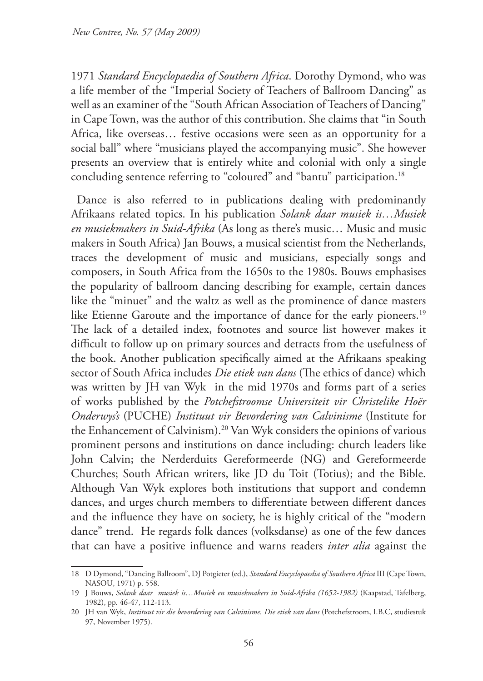1971 *Standard Encyclopaedia of Southern Africa*. Dorothy Dymond, who was a life member of the "Imperial Society of Teachers of Ballroom Dancing" as well as an examiner of the "South African Association of Teachers of Dancing" in Cape Town, was the author of this contribution. She claims that "in South Africa, like overseas… festive occasions were seen as an opportunity for a social ball" where "musicians played the accompanying music". She however presents an overview that is entirely white and colonial with only a single concluding sentence referring to "coloured" and "bantu" participation.<sup>18</sup>

Dance is also referred to in publications dealing with predominantly Afrikaans related topics. In his publication *Solank daar musiek is…Musiek en musiekmakers in Suid-Afrika* (As long as there's music… Music and music makers in South Africa) Jan Bouws, a musical scientist from the Netherlands, traces the development of music and musicians, especially songs and composers, in South Africa from the 1650s to the 1980s. Bouws emphasises the popularity of ballroom dancing describing for example, certain dances like the "minuet" and the waltz as well as the prominence of dance masters like Etienne Garoute and the importance of dance for the early pioneers.<sup>19</sup> The lack of a detailed index, footnotes and source list however makes it difficult to follow up on primary sources and detracts from the usefulness of the book. Another publication specifically aimed at the Afrikaans speaking sector of South Africa includes *Die etiek van dans* (The ethics of dance) which was written by JH van Wyk in the mid 1970s and forms part of a series of works published by the *Potchefstroomse Universiteit vir Christelike Hoër Onderwys's* (PUCHE) *Instituut vir Bevordering van Calvinisme* (Institute for the Enhancement of Calvinism).20 Van Wyk considers the opinions of various prominent persons and institutions on dance including: church leaders like John Calvin; the Nerderduits Gereformeerde (NG) and Gereformeerde Churches; South African writers, like JD du Toit (Totius); and the Bible. Although Van Wyk explores both institutions that support and condemn dances, and urges church members to differentiate between different dances and the influence they have on society, he is highly critical of the "modern dance" trend. He regards folk dances (volksdanse) as one of the few dances that can have a positive influence and warns readers *inter alia* against the

<sup>18</sup> D Dymond, "Dancing Ballroom", DJ Potgieter (ed.), *Standard Encyclopaedia of Southern Africa* III (Cape Town, NASOU, 1971) p. 558.

<sup>19</sup> J Bouws, *Solank daar musiek is…Musiek en musiekmakers in Suid-Afrika (1652-1982)* (Kaapstad, Tafelberg, 1982), pp. 46-47, 112-113.

<sup>20</sup> JH van Wyk, *Instituut vir die bevordering van Calvinisme. Die etiek van dans* (Potchefstroom, I.B.C, studiestuk 97, November 1975).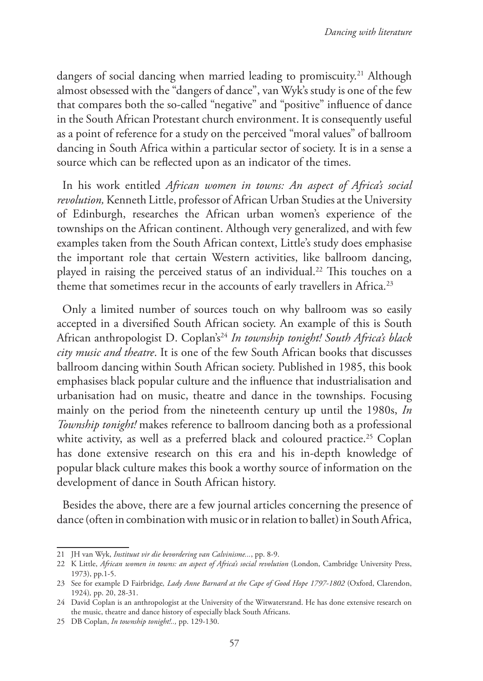dangers of social dancing when married leading to promiscuity.<sup>21</sup> Although almost obsessed with the "dangers of dance", van Wyk's study is one of the few that compares both the so-called "negative" and "positive" influence of dance in the South African Protestant church environment. It is consequently useful as a point of reference for a study on the perceived "moral values" of ballroom dancing in South Africa within a particular sector of society. It is in a sense a source which can be reflected upon as an indicator of the times.

In his work entitled *African women in towns: An aspect of Africa's social revolution,* Kenneth Little, professor of African Urban Studies at the University of Edinburgh, researches the African urban women's experience of the townships on the African continent. Although very generalized, and with few examples taken from the South African context, Little's study does emphasise the important role that certain Western activities, like ballroom dancing, played in raising the perceived status of an individual.<sup>22</sup> This touches on a theme that sometimes recur in the accounts of early travellers in Africa.<sup>23</sup>

Only a limited number of sources touch on why ballroom was so easily accepted in a diversified South African society. An example of this is South African anthropologist D. Coplan's24 *In township tonight! South Africa's black city music and theatre*. It is one of the few South African books that discusses ballroom dancing within South African society. Published in 1985, this book emphasises black popular culture and the influence that industrialisation and urbanisation had on music, theatre and dance in the townships. Focusing mainly on the period from the nineteenth century up until the 1980s, *In Township tonight!* makes reference to ballroom dancing both as a professional white activity, as well as a preferred black and coloured practice.<sup>25</sup> Coplan has done extensive research on this era and his in-depth knowledge of popular black culture makes this book a worthy source of information on the development of dance in South African history.

Besides the above, there are a few journal articles concerning the presence of dance (often in combination with music or in relation to ballet) in South Africa,

<sup>21</sup> JH van Wyk, *Instituut vir die bevordering van Calvinisme...*, pp. 8-9.

<sup>22</sup> K Little, *African women in towns: an aspect of Africa's social revolution* (London, Cambridge University Press, 1973), pp.1-5.

<sup>23</sup> See for example D Fairbridge*, Lady Anne Barnard at the Cape of Good Hope 1797-1802* (Oxford, Clarendon, 1924)*,* pp. 20, 28-31.

<sup>24</sup> David Coplan is an anthropologist at the University of the Witwatersrand. He has done extensive research on the music, theatre and dance history of especially black South Africans.

<sup>25</sup> DB Coplan, *In township tonight!..,* pp. 129-130.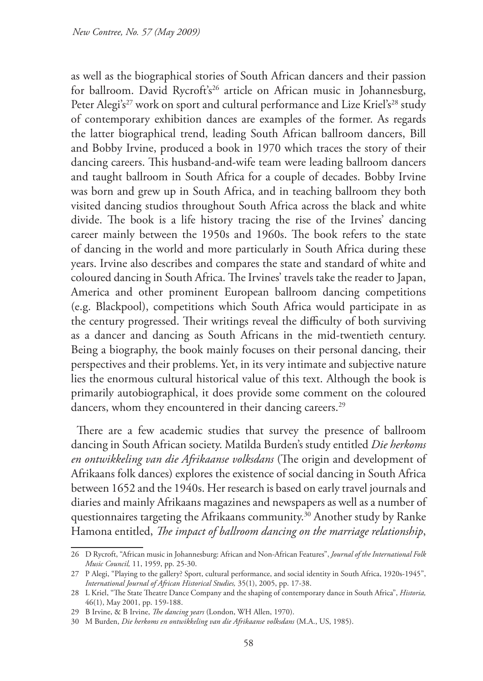as well as the biographical stories of South African dancers and their passion for ballroom. David Rycroft's<sup>26</sup> article on African music in Johannesburg, Peter Alegi's<sup>27</sup> work on sport and cultural performance and Lize Kriel's<sup>28</sup> study of contemporary exhibition dances are examples of the former. As regards the latter biographical trend, leading South African ballroom dancers, Bill and Bobby Irvine, produced a book in 1970 which traces the story of their dancing careers. This husband-and-wife team were leading ballroom dancers and taught ballroom in South Africa for a couple of decades. Bobby Irvine was born and grew up in South Africa, and in teaching ballroom they both visited dancing studios throughout South Africa across the black and white divide. The book is a life history tracing the rise of the Irvines' dancing career mainly between the 1950s and 1960s. The book refers to the state of dancing in the world and more particularly in South Africa during these years. Irvine also describes and compares the state and standard of white and coloured dancing in South Africa. The Irvines' travels take the reader to Japan, America and other prominent European ballroom dancing competitions (e.g. Blackpool), competitions which South Africa would participate in as the century progressed. Their writings reveal the difficulty of both surviving as a dancer and dancing as South Africans in the mid-twentieth century. Being a biography, the book mainly focuses on their personal dancing, their perspectives and their problems. Yet, in its very intimate and subjective nature lies the enormous cultural historical value of this text. Although the book is primarily autobiographical, it does provide some comment on the coloured dancers, whom they encountered in their dancing careers.<sup>29</sup>

There are a few academic studies that survey the presence of ballroom dancing in South African society. Matilda Burden's study entitled *Die herkoms en ontwikkeling van die Afrikaanse volksdans* (The origin and development of Afrikaans folk dances) explores the existence of social dancing in South Africa between 1652 and the 1940s. Her research is based on early travel journals and diaries and mainly Afrikaans magazines and newspapers as well as a number of questionnaires targeting the Afrikaans community.30 Another study by Ranke Hamona entitled, *The impact of ballroom dancing on the marriage relationship*,

<sup>26</sup> D Rycroft, "African music in Johannesburg: African and Non-African Features", *Journal of the International Folk Music Council,* 11, 1959, pp. 25-30.

<sup>27</sup> P Alegi, "Playing to the gallery? Sport, cultural performance, and social identity in South Africa, 1920s-1945", *International Journal of African Historical Studies,* 35(1), 2005, pp. 17-38.

<sup>28</sup> L Kriel, "The State Theatre Dance Company and the shaping of contemporary dance in South Africa", *Historia,* 46(1), May 2001, pp. 159-188.

<sup>29</sup> B Irvine, & B Irvine, *The dancing years* (London, WH Allen, 1970).

<sup>30</sup> M Burden, *Die herkoms en ontwikkeling van die Afrikaanse volksdans* (M.A., US, 1985).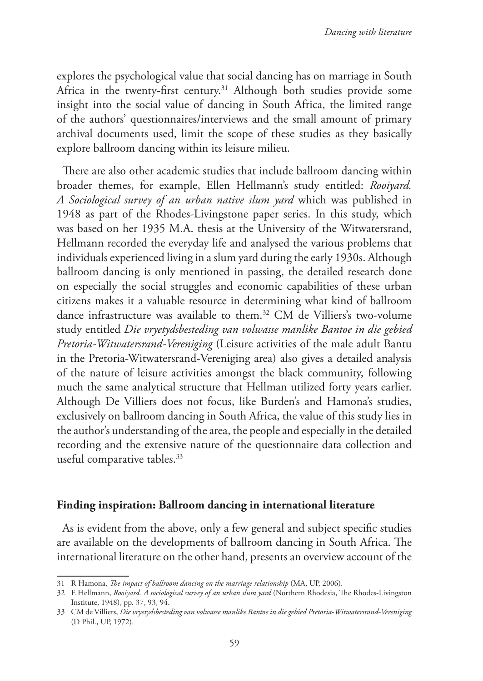explores the psychological value that social dancing has on marriage in South Africa in the twenty-first century.<sup>31</sup> Although both studies provide some insight into the social value of dancing in South Africa, the limited range of the authors' questionnaires/interviews and the small amount of primary archival documents used, limit the scope of these studies as they basically explore ballroom dancing within its leisure milieu.

There are also other academic studies that include ballroom dancing within broader themes, for example, Ellen Hellmann's study entitled: *Rooiyard. A Sociological survey of an urban native slum yard* which was published in 1948 as part of the Rhodes-Livingstone paper series. In this study, which was based on her 1935 M.A. thesis at the University of the Witwatersrand, Hellmann recorded the everyday life and analysed the various problems that individuals experienced living in a slum yard during the early 1930s. Although ballroom dancing is only mentioned in passing, the detailed research done on especially the social struggles and economic capabilities of these urban citizens makes it a valuable resource in determining what kind of ballroom dance infrastructure was available to them.<sup>32</sup> CM de Villiers's two-volume study entitled *Die vryetydsbesteding van volwasse manlike Bantoe in die gebied Pretoria-Witwatersrand-Vereniging* (Leisure activities of the male adult Bantu in the Pretoria-Witwatersrand-Vereniging area) also gives a detailed analysis of the nature of leisure activities amongst the black community, following much the same analytical structure that Hellman utilized forty years earlier. Although De Villiers does not focus, like Burden's and Hamona's studies, exclusively on ballroom dancing in South Africa, the value of this study lies in the author's understanding of the area, the people and especially in the detailed recording and the extensive nature of the questionnaire data collection and useful comparative tables.<sup>33</sup>

#### **Finding inspiration: Ballroom dancing in international literature**

As is evident from the above, only a few general and subject specific studies are available on the developments of ballroom dancing in South Africa. The international literature on the other hand, presents an overview account of the

<sup>31</sup> R Hamona, *The impact of ballroom dancing on the marriage relationship* (MA, UP, 2006).

<sup>32</sup> E Hellmann, *Rooiyard. A sociological survey of an urban slum yard* (Northern Rhodesia, The Rhodes-Livingston Institute, 1948), pp. 37, 93, 94.

<sup>33</sup> CM de Villiers, *Die vryetydsbesteding van volwasse manlike Bantoe in die gebied Pretoria-Witwatersrand-Vereniging* (D Phil., UP, 1972).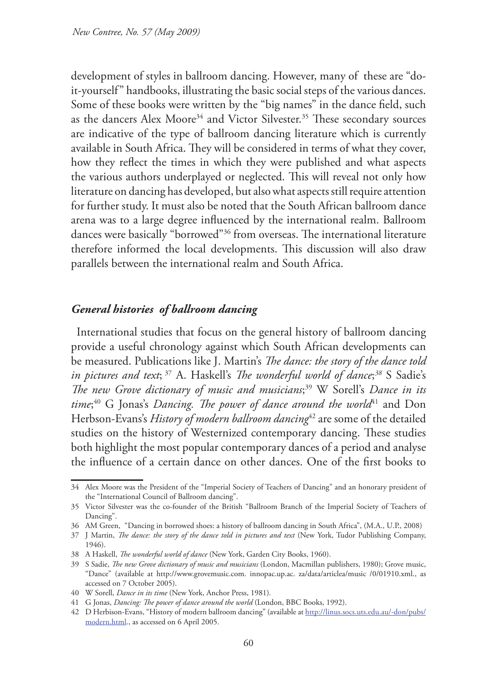development of styles in ballroom dancing. However, many of these are "doit-yourself" handbooks, illustrating the basic social steps of the various dances. Some of these books were written by the "big names" in the dance field, such as the dancers Alex Moore<sup>34</sup> and Victor Silvester.<sup>35</sup> These secondary sources are indicative of the type of ballroom dancing literature which is currently available in South Africa. They will be considered in terms of what they cover, how they reflect the times in which they were published and what aspects the various authors underplayed or neglected. This will reveal not only how literature on dancing has developed, but also what aspects still require attention for further study. It must also be noted that the South African ballroom dance arena was to a large degree influenced by the international realm. Ballroom dances were basically "borrowed"36 from overseas. The international literature therefore informed the local developments. This discussion will also draw parallels between the international realm and South Africa.

## *General histories of ballroom dancing*

International studies that focus on the general history of ballroom dancing provide a useful chronology against which South African developments can be measured. Publications like J. Martin's *The dance: the story of the dance told in pictures and text*; 37 A. Haskell's *The wonderful world of dance*; *<sup>38</sup>* S Sadie's *The new Grove dictionary of music and musicians*; 39 W Sorell's *Dance in its*  time;<sup>40</sup> G Jonas's *Dancing. The power of dance around the world*<sup>41</sup> and Don Herbson-Evans's *History of modern ballroom dancing*<sup>42</sup> are some of the detailed studies on the history of Westernized contemporary dancing. These studies both highlight the most popular contemporary dances of a period and analyse the influence of a certain dance on other dances. One of the first books to

<sup>34</sup> Alex Moore was the President of the "Imperial Society of Teachers of Dancing" and an honorary president of the "International Council of Ballroom dancing".

<sup>35</sup> Victor Silvester was the co-founder of the British "Ballroom Branch of the Imperial Society of Teachers of Dancing".

<sup>36</sup> AM Green, "Dancing in borrowed shoes: a history of ballroom dancing in South Africa", (M.A., U.P., 2008)

<sup>37</sup> J Martin, *The dance: the story of the dance told in pictures and text* (New York, Tudor Publishing Company, 1946).

<sup>38</sup> A Haskell, *The wonderful world of dance* (New York, Garden City Books, 1960).

<sup>39</sup> S Sadie, *The new Grove dictionary of music and musicians* (London, Macmillan publishers, 1980); Grove music, "Dance" (available at http://www.grovemusic.com. innopac.up.ac. za/data/articlea/music /0/01910.xml., as accessed on 7 October 2005).

<sup>40</sup> W Sorell, *Dance in its time* (New York, Anchor Press, 1981)*.*

<sup>41</sup> G Jonas, *Dancing: The power of dance around the world* (London, BBC Books, 1992).

<sup>42</sup> D Herbison-Evans, "History of modern ballroom dancing" (available at http://linus.socs.uts.edu.au/-don/pubs/ modern.html., as accessed on 6 April 2005.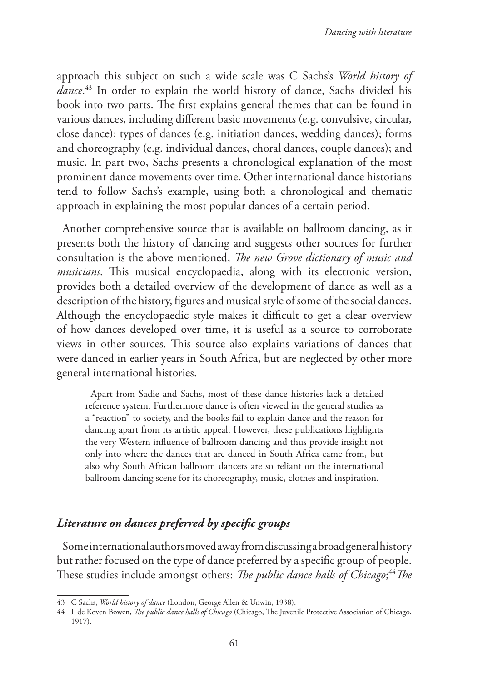approach this subject on such a wide scale was C Sachs's *World history of dance*. 43 In order to explain the world history of dance, Sachs divided his book into two parts. The first explains general themes that can be found in various dances, including different basic movements (e.g. convulsive, circular, close dance); types of dances (e.g. initiation dances, wedding dances); forms and choreography (e.g. individual dances, choral dances, couple dances); and music. In part two, Sachs presents a chronological explanation of the most prominent dance movements over time. Other international dance historians tend to follow Sachs's example, using both a chronological and thematic approach in explaining the most popular dances of a certain period.

Another comprehensive source that is available on ballroom dancing, as it presents both the history of dancing and suggests other sources for further consultation is the above mentioned, *The new Grove dictionary of music and musicians*. This musical encyclopaedia, along with its electronic version, provides both a detailed overview of the development of dance as well as a description of the history, figures and musical style of some of the social dances. Although the encyclopaedic style makes it difficult to get a clear overview of how dances developed over time, it is useful as a source to corroborate views in other sources. This source also explains variations of dances that were danced in earlier years in South Africa, but are neglected by other more general international histories.

Apart from Sadie and Sachs, most of these dance histories lack a detailed reference system. Furthermore dance is often viewed in the general studies as a "reaction" to society, and the books fail to explain dance and the reason for dancing apart from its artistic appeal. However, these publications highlights the very Western influence of ballroom dancing and thus provide insight not only into where the dances that are danced in South Africa came from, but also why South African ballroom dancers are so reliant on the international ballroom dancing scene for its choreography, music, clothes and inspiration.

## *Literature on dances preferred by specific groups*

Some international authors moved away from discussing a broad general history but rather focused on the type of dance preferred by a specific group of people. These studies include amongst others: *The public dance halls of Chicago*; <sup>44</sup>*The* 

<sup>43</sup> C Sachs, *World history of dance* (London, George Allen & Unwin, 1938).

<sup>44</sup> L de Koven Bowen**,** *The public dance halls of Chicago* (Chicago, The Juvenile Protective Association of Chicago, 1917).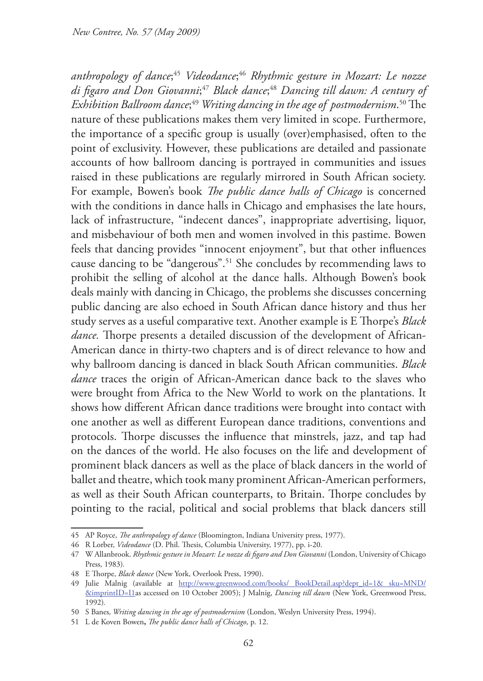*anthropology of dance*; <sup>45</sup> *Videodance*; <sup>46</sup> *Rhythmic gesture in Mozart: Le nozze di figaro and Don Giovanni*; <sup>47</sup> *Black dance*; <sup>48</sup> *Dancing till dawn: A century of Exhibition Ballroom dance*; <sup>49</sup> *Writing dancing in the age of postmodernism*. 50 The nature of these publications makes them very limited in scope. Furthermore, the importance of a specific group is usually (over)emphasised, often to the point of exclusivity. However, these publications are detailed and passionate accounts of how ballroom dancing is portrayed in communities and issues raised in these publications are regularly mirrored in South African society. For example, Bowen's book *The public dance halls of Chicago* is concerned with the conditions in dance halls in Chicago and emphasises the late hours, lack of infrastructure, "indecent dances", inappropriate advertising, liquor, and misbehaviour of both men and women involved in this pastime. Bowen feels that dancing provides "innocent enjoyment", but that other influences cause dancing to be "dangerous".51 She concludes by recommending laws to prohibit the selling of alcohol at the dance halls. Although Bowen's book deals mainly with dancing in Chicago, the problems she discusses concerning public dancing are also echoed in South African dance history and thus her study serves as a useful comparative text. Another example is E Thorpe's *Black dance.* Thorpe presents a detailed discussion of the development of African-American dance in thirty-two chapters and is of direct relevance to how and why ballroom dancing is danced in black South African communities. *Black*  dance traces the origin of African-American dance back to the slaves who were brought from Africa to the New World to work on the plantations. It shows how different African dance traditions were brought into contact with one another as well as different European dance traditions, conventions and protocols. Thorpe discusses the influence that minstrels, jazz, and tap had on the dances of the world. He also focuses on the life and development of prominent black dancers as well as the place of black dancers in the world of ballet and theatre, which took many prominent African-American performers, as well as their South African counterparts, to Britain. Thorpe concludes by pointing to the racial, political and social problems that black dancers still

<sup>45</sup> AP Royce, *The anthropology of dance* (Bloomington, Indiana University press, 1977).

<sup>46</sup> R Lorber, *Videodance* (D. Phil. Thesis, Columbia University, 1977), pp. i-20.

<sup>47</sup> W Allanbrook. *Rhythmic gesture in Mozart: Le nozze di figaro and Don Giovanni* (London, University of Chicago Press, 1983)*.*

<sup>48</sup> E Thorpe, *Black dance* (New York, Overlook Press, 1990).

<sup>49</sup> Julie Malnig (available at http://www.greenwood.com/books/ BookDetail.asp?dept\_id=1& sku=MND/ &imprintID=I1as accessed on 10 October 2005); J Malnig, *Dancing till dawn* (New York, Greenwood Press, 1992)*.*

<sup>50</sup> S Banes*, Writing dancing in the age of postmodernism* (London, Weslyn University Press, 1994).

<sup>51</sup> L de Koven Bowen**,** *The public dance halls of Chicago*, p. 12.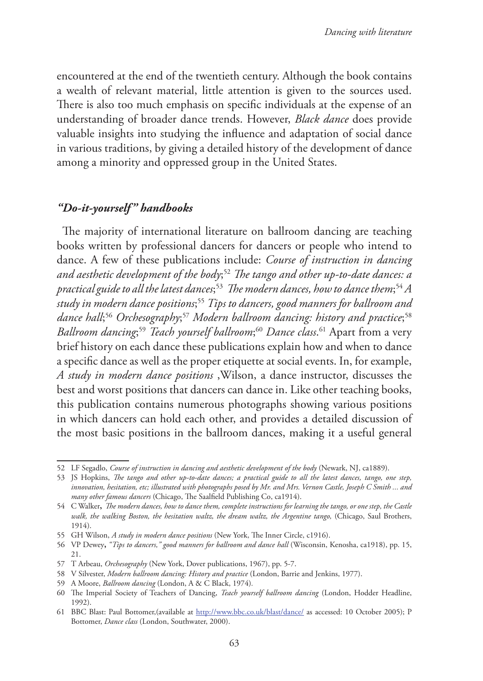encountered at the end of the twentieth century. Although the book contains a wealth of relevant material, little attention is given to the sources used. There is also too much emphasis on specific individuals at the expense of an understanding of broader dance trends. However, *Black dance* does provide valuable insights into studying the influence and adaptation of social dance in various traditions, by giving a detailed history of the development of dance among a minority and oppressed group in the United States.

## *"Do-it-yourself" handbooks*

The majority of international literature on ballroom dancing are teaching books written by professional dancers for dancers or people who intend to dance. A few of these publications include: *Course of instruction in dancing and aesthetic development of the body*; <sup>52</sup> *The tango and other up-to-date dances: a*  practical guide to all the latest dances;<sup>53</sup> The modern dances, how to dance them;<sup>54</sup> A *study in modern dance positions*; <sup>55</sup> *Tips to dancers, good manners for ballroom and dance hall*; <sup>56</sup> *Orchesography*; <sup>57</sup> *Modern ballroom dancing: history and practice*; 58 *Ballroom dancing*; <sup>59</sup> *Teach yourself ballroom*; <sup>60</sup> *Dance class*. 61 Apart from a very brief history on each dance these publications explain how and when to dance a specific dance as well as the proper etiquette at social events. In, for example, *A study in modern dance positions* ,Wilson, a dance instructor, discusses the best and worst positions that dancers can dance in. Like other teaching books, this publication contains numerous photographs showing various positions in which dancers can hold each other, and provides a detailed discussion of the most basic positions in the ballroom dances, making it a useful general

<sup>52</sup> LF Segadlo, *Course of instruction in dancing and aesthetic development of the body* (Newark, NJ, ca1889).

<sup>53</sup> JS Hopkins, *The tango and other up-to-date dances; a practical guide to all the latest dances, tango, one step, innovation, hesitation, etc; illustrated with photographs posed by Mr. and Mrs. Vernon Castle, Joseph C Smith ... and many other famous dancers* (Chicago, The Saalfield Publishing Co, ca1914).

<sup>54</sup> C Walker**,** *The modern dances, how to dance them, complete instructions for learning the tango, or one step, the Castle walk, the walking Boston, the hesitation waltz, the dream waltz, the Argentine tango,* (Chicago, Saul Brothers, 1914).

<sup>55</sup> GH Wilson, *A study in modern dance positions* (New York, The Inner Circle, c1916).

<sup>56</sup> VP Dewey**,** *"Tips to dancers," good manners for ballroom and dance hall* (Wisconsin, Kenosha, ca1918), pp. 15, 21.

<sup>57</sup> T Arbeau, *Orchesography* (New York, Dover publications, 1967), pp. 5-7.

<sup>58</sup> V Silvester, *Modern ballroom dancing: History and practice* (London, Barrie and Jenkins, 1977).

<sup>59</sup> A Moore, *Ballroom dancing* (London, A & C Black, 1974)*.*

<sup>60</sup> The Imperial Society of Teachers of Dancing, *Teach yourself ballroom dancing* (London, Hodder Headline, 1992).

<sup>61</sup> BBC Blast: Paul Bottomer,(available at http://www.bbc.co.uk/blast/dance/ as accessed: 10 October 2005); P Bottomer, *Dance class* (London, Southwater, 2000).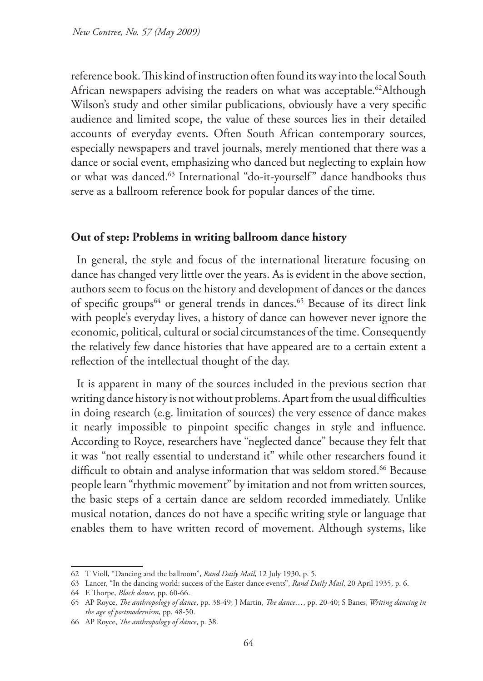reference book. This kind of instruction often found its way into the local South African newspapers advising the readers on what was acceptable.<sup>62</sup>Although Wilson's study and other similar publications, obviously have a very specific audience and limited scope, the value of these sources lies in their detailed accounts of everyday events. Often South African contemporary sources, especially newspapers and travel journals, merely mentioned that there was a dance or social event, emphasizing who danced but neglecting to explain how or what was danced.63 International "do-it-yourself" dance handbooks thus serve as a ballroom reference book for popular dances of the time.

### **Out of step: Problems in writing ballroom dance history**

In general, the style and focus of the international literature focusing on dance has changed very little over the years. As is evident in the above section, authors seem to focus on the history and development of dances or the dances of specific groups<sup>64</sup> or general trends in dances.<sup>65</sup> Because of its direct link with people's everyday lives, a history of dance can however never ignore the economic, political, cultural or social circumstances of the time. Consequently the relatively few dance histories that have appeared are to a certain extent a reflection of the intellectual thought of the day.

It is apparent in many of the sources included in the previous section that writing dance history is not without problems. Apart from the usual difficulties in doing research (e.g. limitation of sources) the very essence of dance makes it nearly impossible to pinpoint specific changes in style and influence. According to Royce, researchers have "neglected dance" because they felt that it was "not really essential to understand it" while other researchers found it difficult to obtain and analyse information that was seldom stored.<sup>66</sup> Because people learn "rhythmic movement" by imitation and not from written sources, the basic steps of a certain dance are seldom recorded immediately. Unlike musical notation, dances do not have a specific writing style or language that enables them to have written record of movement. Although systems, like

<sup>62</sup> T Violl, "Dancing and the ballroom", *Rand Daily Mail,* 12 July 1930, p. 5.

<sup>63</sup> Lancer, "In the dancing world: success of the Easter dance events", *Rand Daily Mail*, 20 April 1935, p. 6.

<sup>64</sup> E Thorpe, *Black dance,* pp. 60-66.

<sup>65</sup> AP Royce, *The anthropology of dance*, pp. 38-49; J Martin, *The dance…*, pp. 20-40; S Banes, *Writing dancing in the age of postmodernism*, pp. 48-50.

<sup>66</sup> AP Royce, *The anthropology of dance*, p. 38.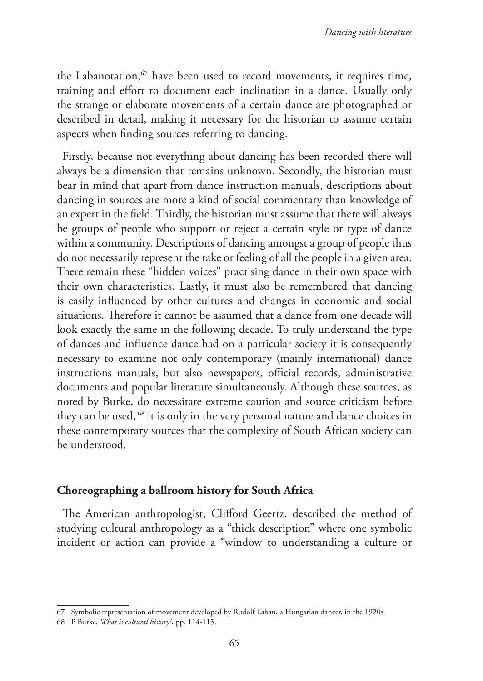the Labanotation, $67$  have been used to record movements, it requires time, training and effort to document each inclination in a dance. Usually only the strange or elaborate movements of a certain dance are photographed or described in detail, making it necessary for the historian to assume certain aspects when finding sources referring to dancing.

Firstly, because not everything about dancing has been recorded there will always be a dimension that remains unknown. Secondly, the historian must bear in mind that apart from dance instruction manuals, descriptions about dancing in sources are more a kind of social commentary than knowledge of an expert in the field. Thirdly, the historian must assume that there will always be groups of people who support or reject a certain style or type of dance within a community. Descriptions of dancing amongst a group of people thus do not necessarily represent the take or feeling of all the people in a given area. There remain these "hidden voices" practising dance in their own space with their own characteristics. Lastly, it must also be remembered that dancing is easily influenced by other cultures and changes in economic and social situations. Therefore it cannot be assumed that a dance from one decade will look exactly the same in the following decade. To truly understand the type of dances and influence dance had on a particular society it is consequently necessary to examine not only contemporary (mainly international) dance instructions manuals, but also newspapers, official records, administrative documents and popular literature simultaneously. Although these sources, as noted by Burke, do necessitate extreme caution and source criticism before they can be used, 68 it is only in the very personal nature and dance choices in these contemporary sources that the complexity of South African society can be understood.

### **Choreographing a ballroom history for South Africa**

The American anthropologist, Clifford Geertz, described the method of studying cultural anthropology as a "thick description" where one symbolic incident or action can provide a "window to understanding a culture or

<sup>67</sup> Symbolic representation of movement developed by Rudolf Laban, a Hungarian dancer, in the 1920s.

<sup>68</sup> P Burke, *What is cultural history?*, pp. 114-115.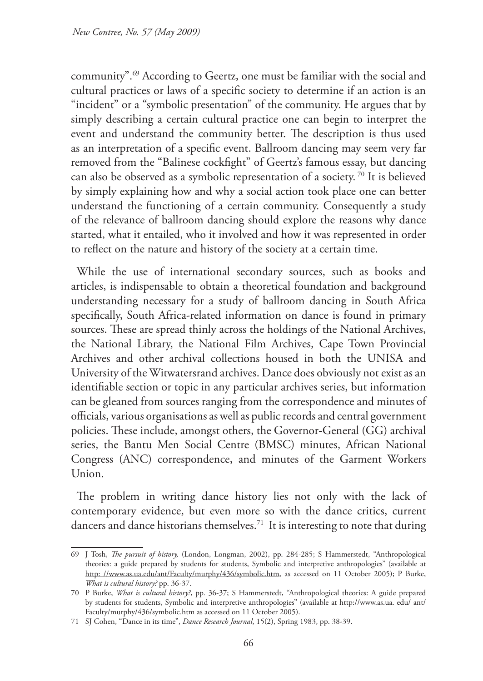community".69 According to Geertz, one must be familiar with the social and cultural practices or laws of a specific society to determine if an action is an "incident" or a "symbolic presentation" of the community. He argues that by simply describing a certain cultural practice one can begin to interpret the event and understand the community better. The description is thus used as an interpretation of a specific event. Ballroom dancing may seem very far removed from the "Balinese cockfight" of Geertz's famous essay, but dancing can also be observed as a symbolic representation of a society. 70 It is believed by simply explaining how and why a social action took place one can better understand the functioning of a certain community. Consequently a study of the relevance of ballroom dancing should explore the reasons why dance started, what it entailed, who it involved and how it was represented in order to reflect on the nature and history of the society at a certain time.

While the use of international secondary sources, such as books and articles, is indispensable to obtain a theoretical foundation and background understanding necessary for a study of ballroom dancing in South Africa specifically, South Africa-related information on dance is found in primary sources. These are spread thinly across the holdings of the National Archives, the National Library, the National Film Archives, Cape Town Provincial Archives and other archival collections housed in both the UNISA and University of the Witwatersrand archives. Dance does obviously not exist as an identifiable section or topic in any particular archives series, but information can be gleaned from sources ranging from the correspondence and minutes of officials, various organisations as well as public records and central government policies. These include, amongst others, the Governor-General (GG) archival series, the Bantu Men Social Centre (BMSC) minutes, African National Congress (ANC) correspondence, and minutes of the Garment Workers Union.

The problem in writing dance history lies not only with the lack of contemporary evidence, but even more so with the dance critics, current dancers and dance historians themselves.<sup>71</sup> It is interesting to note that during

<sup>69</sup> J Tosh, *The pursuit of history,* (London, Longman, 2002), pp. 284-285; S Hammerstedt, "Anthropological theories: a guide prepared by students for students, Symbolic and interpretive anthropologies" (available at http: //www.as.ua.edu/ant/Faculty/murphy/436/symbolic.htm, as accessed on 11 October 2005); P Burke, *What is cultural history?* pp. 36-37.

<sup>70</sup> P Burke, *What is cultural history?*, pp. 36-37; S Hammerstedt, "Anthropological theories: A guide prepared by students for students, Symbolic and interpretive anthropologies" (available at http://www.as.ua. edu/ ant/ Faculty/murphy/436/symbolic.htm as accessed on 11 October 2005).

<sup>71</sup> SJ Cohen, "Dance in its time", *Dance Research Journal*, 15(2), Spring 1983, pp. 38-39.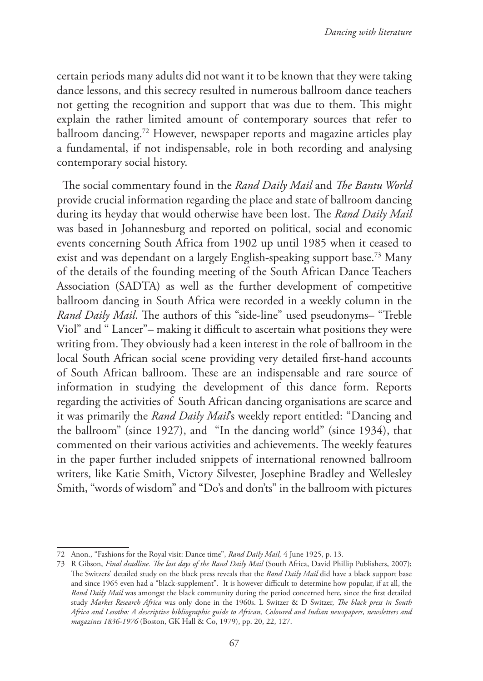certain periods many adults did not want it to be known that they were taking dance lessons, and this secrecy resulted in numerous ballroom dance teachers not getting the recognition and support that was due to them. This might explain the rather limited amount of contemporary sources that refer to ballroom dancing.<sup>72</sup> However, newspaper reports and magazine articles play a fundamental, if not indispensable, role in both recording and analysing contemporary social history.

The social commentary found in the *Rand Daily Mail* and *The Bantu World* provide crucial information regarding the place and state of ballroom dancing during its heyday that would otherwise have been lost. The *Rand Daily Mail* was based in Johannesburg and reported on political, social and economic events concerning South Africa from 1902 up until 1985 when it ceased to exist and was dependant on a largely English-speaking support base.<sup>73</sup> Many of the details of the founding meeting of the South African Dance Teachers Association (SADTA) as well as the further development of competitive ballroom dancing in South Africa were recorded in a weekly column in the *Rand Daily Mail*. The authors of this "side-line" used pseudonyms– "Treble Viol" and " Lancer"– making it difficult to ascertain what positions they were writing from. They obviously had a keen interest in the role of ballroom in the local South African social scene providing very detailed first-hand accounts of South African ballroom. These are an indispensable and rare source of information in studying the development of this dance form. Reports regarding the activities of South African dancing organisations are scarce and it was primarily the *Rand Daily Mail*'s weekly report entitled: "Dancing and the ballroom" (since 1927), and "In the dancing world" (since 1934), that commented on their various activities and achievements. The weekly features in the paper further included snippets of international renowned ballroom writers, like Katie Smith, Victory Silvester, Josephine Bradley and Wellesley Smith, "words of wisdom" and "Do's and don'ts" in the ballroom with pictures

<sup>72</sup> Anon., "Fashions for the Royal visit: Dance time", *Rand Daily Mail,* 4 June 1925, p. 13.

<sup>73</sup> R Gibson, *Final deadline. The last days of the Rand Daily Mail* (South Africa, David Phillip Publishers, 2007); The Switzers' detailed study on the black press reveals that the *Rand Daily Mail* did have a black support base and since 1965 even had a "black-supplement". It is however difficult to determine how popular, if at all, the *Rand Daily Mail* was amongst the black community during the period concerned here, since the first detailed study *Market Research Africa* was only done in the 1960s. L Switzer & D Switzer, *The black press in South Africa and Lesotho: A descriptive bibliographic guide to African, Coloured and Indian newspapers, newsletters and magazines 1836-1976* (Boston, GK Hall & Co, 1979), pp. 20, 22, 127.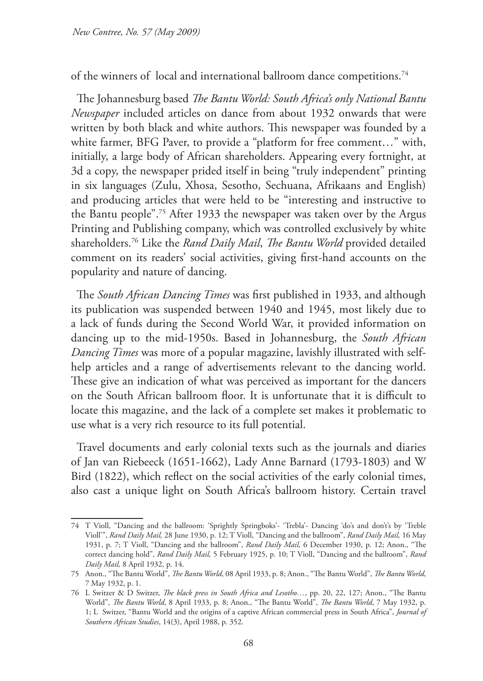of the winners of local and international ballroom dance competitions.74

The Johannesburg based *The Bantu World: South Africa's only National Bantu Newspaper* included articles on dance from about 1932 onwards that were written by both black and white authors. This newspaper was founded by a white farmer, BFG Paver, to provide a "platform for free comment…" with, initially, a large body of African shareholders. Appearing every fortnight, at 3d a copy, the newspaper prided itself in being "truly independent" printing in six languages (Zulu, Xhosa, Sesotho, Sechuana, Afrikaans and English) and producing articles that were held to be "interesting and instructive to the Bantu people".75 After 1933 the newspaper was taken over by the Argus Printing and Publishing company, which was controlled exclusively by white shareholders.76 Like the *Rand Daily Mail*, *The Bantu World* provided detailed comment on its readers' social activities, giving first-hand accounts on the popularity and nature of dancing.

The *South African Dancing Times* was first published in 1933, and although its publication was suspended between 1940 and 1945, most likely due to a lack of funds during the Second World War, it provided information on dancing up to the mid-1950s. Based in Johannesburg, the *South African Dancing Times* was more of a popular magazine, lavishly illustrated with selfhelp articles and a range of advertisements relevant to the dancing world. These give an indication of what was perceived as important for the dancers on the South African ballroom floor. It is unfortunate that it is difficult to locate this magazine, and the lack of a complete set makes it problematic to use what is a very rich resource to its full potential.

Travel documents and early colonial texts such as the journals and diaries of Jan van Riebeeck (1651-1662), Lady Anne Barnard (1793-1803) and W Bird (1822), which reflect on the social activities of the early colonial times, also cast a unique light on South Africa's ballroom history. Certain travel

<sup>74</sup> T Violl, "Dancing and the ballroom: 'Sprightly Springboks'- 'Trebla'- Dancing 'do's and don't's by 'Treble Violl'", *Rand Daily Mail,* 28 June 1930, p. 12; T Violl, "Dancing and the ballroom", *Rand Daily Mail,* 16 May 1931, p. 7; T Violl, "Dancing and the ballroom", *Rand Daily Mail,* 6 December 1930, p. 12; Anon., "The correct dancing hold", *Rand Daily Mail,* 5 February 1925, p. 10; T Violl, "Dancing and the ballroom", *Rand Daily Mail,* 8 April 1932, p. 14.

<sup>75</sup> Anon., "The Bantu World", *The Bantu World*, 08 April 1933, p. 8; Anon., "The Bantu World", *The Bantu World*, 7 May 1932, p. 1.

<sup>76</sup> L Switzer & D Switzer, *The black press in South Africa and Lesotho…*, pp. 20, 22, 127; Anon., "The Bantu World", *The Bantu World*, 8 April 1933, p. 8; Anon., "The Bantu World", *The Bantu World*, 7 May 1932, p. 1; L Switzer, "Bantu World and the origins of a captive African commercial press in South Africa", *Journal of Southern African Studies*, 14(3), April 1988, p. 352.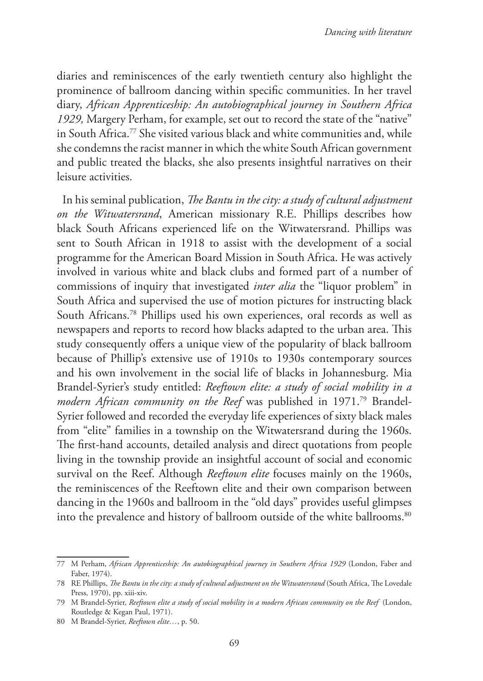diaries and reminiscences of the early twentieth century also highlight the prominence of ballroom dancing within specific communities. In her travel diary, *African Apprenticeship: An autobiographical journey in Southern Africa 1929,* Margery Perham, for example, set out to record the state of the "native" in South Africa.<sup>77</sup> She visited various black and white communities and, while she condemns the racist manner in which the white South African government and public treated the blacks, she also presents insightful narratives on their leisure activities.

In his seminal publication, *The Bantu in the city: a study of cultural adjustment on the Witwatersrand*, American missionary R.E. Phillips describes how black South Africans experienced life on the Witwatersrand. Phillips was sent to South African in 1918 to assist with the development of a social programme for the American Board Mission in South Africa. He was actively involved in various white and black clubs and formed part of a number of commissions of inquiry that investigated *inter alia* the "liquor problem" in South Africa and supervised the use of motion pictures for instructing black South Africans.78 Phillips used his own experiences, oral records as well as newspapers and reports to record how blacks adapted to the urban area. This study consequently offers a unique view of the popularity of black ballroom because of Phillip's extensive use of 1910s to 1930s contemporary sources and his own involvement in the social life of blacks in Johannesburg. Mia Brandel-Syrier's study entitled: *Reeftown elite: a study of social mobility in a modern African community on the Reef* was published in 1971.<sup>79</sup> Brandel-Syrier followed and recorded the everyday life experiences of sixty black males from "elite" families in a township on the Witwatersrand during the 1960s. The first-hand accounts, detailed analysis and direct quotations from people living in the township provide an insightful account of social and economic survival on the Reef. Although *Reeftown elite* focuses mainly on the 1960s, the reminiscences of the Reeftown elite and their own comparison between dancing in the 1960s and ballroom in the "old days" provides useful glimpses into the prevalence and history of ballroom outside of the white ballrooms.<sup>80</sup>

<sup>77</sup> M Perham, *African Apprenticeship: An autobiographical journey in Southern Africa 1929* (London, Faber and Faber, 1974).

<sup>78</sup> RE Phillips, *The Bantu in the city: a study of cultural adjustment on the Witwatersrand* (South Africa, The Lovedale Press, 1970), pp. xiii-xiv.

<sup>79</sup> M Brandel-Syrier, *Reeftown elite a study of social mobility in a modern African community on the Reef* (London, Routledge & Kegan Paul, 1971).

<sup>80</sup> M Brandel-Syrier, *Reeftown elite…*, p. 50.